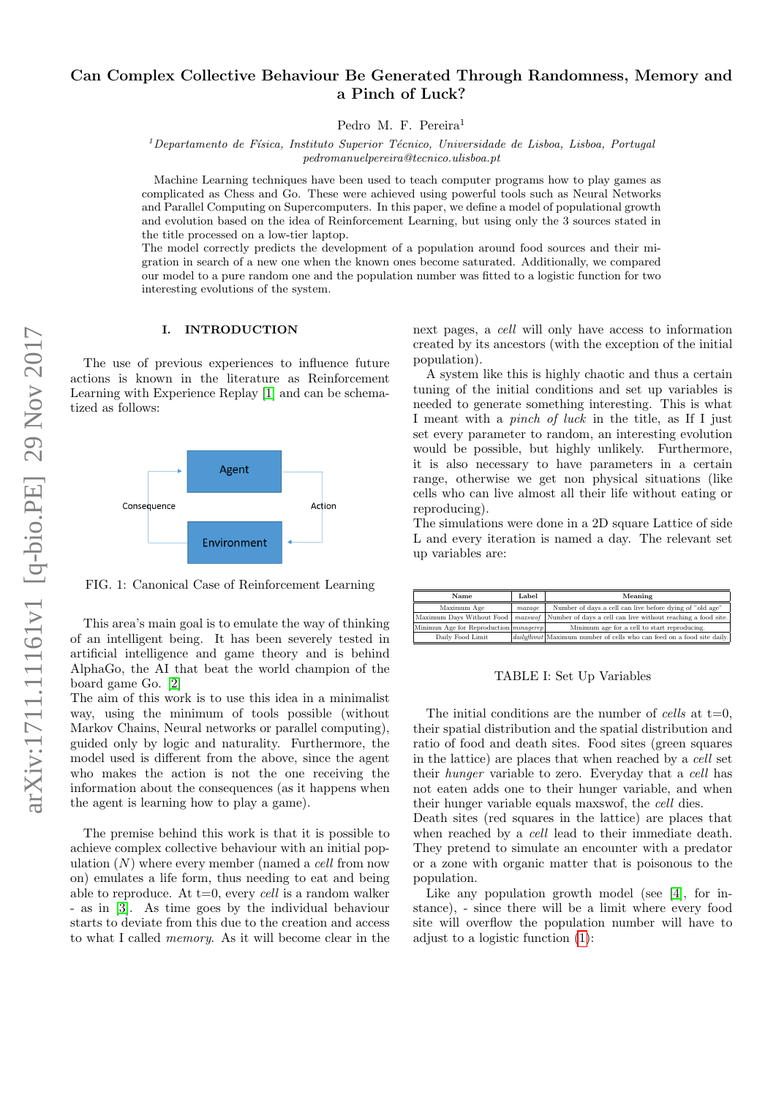# Can Complex Collective Behaviour Be Generated Through Randomness, Memory and a Pinch of Luck?

Pedro M. F. Pereira<sup>1</sup>

 $1$ Departamento de Física, Instituto Superior Técnico, Universidade de Lisboa, Lisboa, Portugal pedromanuelpereira@tecnico.ulisboa.pt

Machine Learning techniques have been used to teach computer programs how to play games as complicated as Chess and Go. These were achieved using powerful tools such as Neural Networks and Parallel Computing on Supercomputers. In this paper, we define a model of populational growth and evolution based on the idea of Reinforcement Learning, but using only the 3 sources stated in the title processed on a low-tier laptop.

The model correctly predicts the development of a population around food sources and their migration in search of a new one when the known ones become saturated. Additionally, we compared our model to a pure random one and the population number was fitted to a logistic function for two interesting evolutions of the system.

#### I. INTRODUCTION

The use of previous experiences to influence future actions is known in the literature as Reinforcement Learning with Experience Replay [\[1\]](#page-6-0) and can be schematized as follows:



FIG. 1: Canonical Case of Reinforcement Learning

This area's main goal is to emulate the way of thinking of an intelligent being. It has been severely tested in artificial intelligence and game theory and is behind AlphaGo, the AI that beat the world champion of the board game Go. [\[2\]](#page-6-1)

The aim of this work is to use this idea in a minimalist way, using the minimum of tools possible (without Markov Chains, Neural networks or parallel computing), guided only by logic and naturality. Furthermore, the model used is different from the above, since the agent who makes the action is not the one receiving the information about the consequences (as it happens when the agent is learning how to play a game).

The premise behind this work is that it is possible to achieve complex collective behaviour with an initial population  $(N)$  where every member (named a *cell* from now on) emulates a life form, thus needing to eat and being able to reproduce. At  $t=0$ , every *cell* is a random walker - as in [\[3\]](#page-6-2). As time goes by the individual behaviour starts to deviate from this due to the creation and access to what I called memory. As it will become clear in the next pages, a cell will only have access to information created by its ancestors (with the exception of the initial population).

A system like this is highly chaotic and thus a certain tuning of the initial conditions and set up variables is needed to generate something interesting. This is what I meant with a pinch of luck in the title, as If I just set every parameter to random, an interesting evolution would be possible, but highly unlikely. Furthermore, it is also necessary to have parameters in a certain range, otherwise we get non physical situations (like cells who can live almost all their life without eating or reproducing).

The simulations were done in a 2D square Lattice of side L and every iteration is named a day. The relevant set up variables are:

| Name                                          | Label  | Meaning                                                                        |
|-----------------------------------------------|--------|--------------------------------------------------------------------------------|
| Maximum Age                                   | maxage | Number of days a cell can live before dying of "old age"                       |
| Maximum Days Without Food                     |        | <i>maxswof</i> Number of days a cell can live without reaching a food site.    |
| Minimun Age for Reproduction <i>minagerep</i> |        | Minimum age for a cell to start reproducing.                                   |
| Daily Food Limit                              |        | <i>daily flimit</i> Maximum number of cells who can feed on a food site daily. |

TABLE I: Set Up Variables

The initial conditions are the number of *cells* at  $t=0$ . their spatial distribution and the spatial distribution and ratio of food and death sites. Food sites (green squares in the lattice) are places that when reached by a cell set their hunger variable to zero. Everyday that a cell has not eaten adds one to their hunger variable, and when their hunger variable equals maxswof, the cell dies.

Death sites (red squares in the lattice) are places that when reached by a *cell* lead to their immediate death. They pretend to simulate an encounter with a predator or a zone with organic matter that is poisonous to the population.

Like any population growth model (see [\[4\]](#page-6-3), for instance), - since there will be a limit where every food site will overflow the population number will have to adjust to a logistic function [\(1\)](#page-1-0):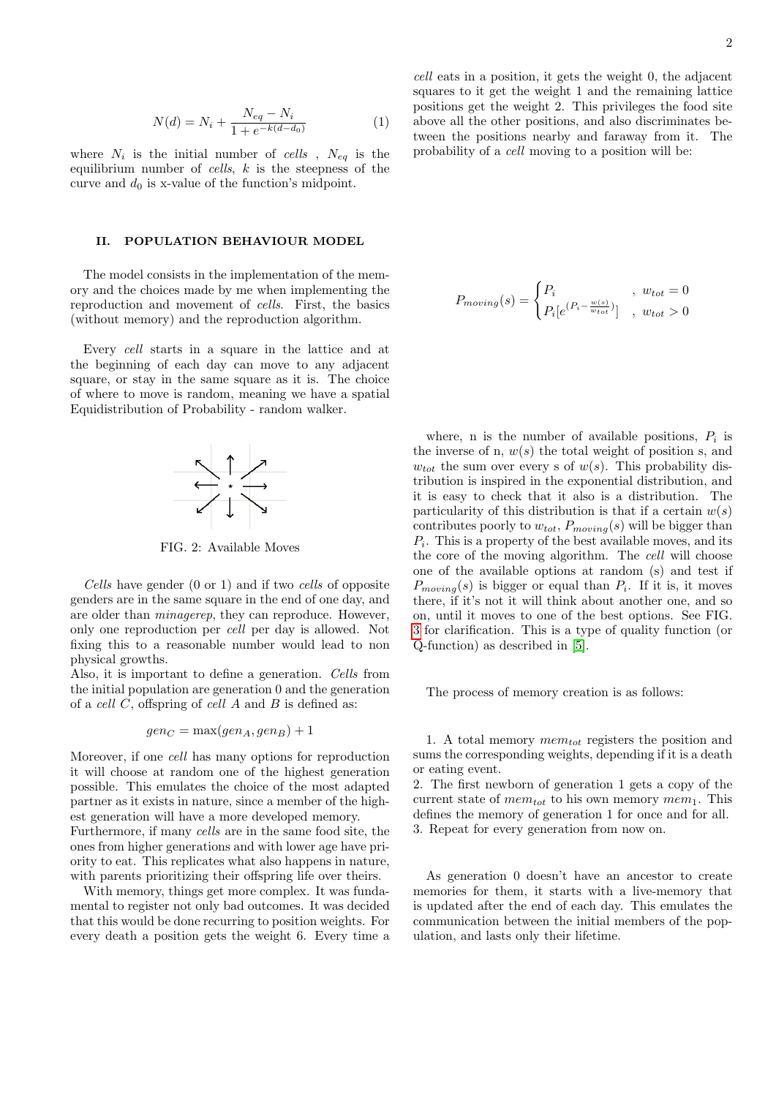<span id="page-1-0"></span>
$$
N(d) = N_i + \frac{N_{eq} - N_i}{1 + e^{-k(d - d_0)}}\tag{1}
$$

where  $N_i$  is the initial number of cells,  $N_{eq}$  is the equilibrium number of *cells*,  $k$  is the steepness of the curve and  $d_0$  is x-value of the function's midpoint.

### II. POPULATION BEHAVIOUR MODEL

The model consists in the implementation of the memory and the choices made by me when implementing the reproduction and movement of cells. First, the basics (without memory) and the reproduction algorithm.

Every cell starts in a square in the lattice and at the beginning of each day can move to any adjacent square, or stay in the same square as it is. The choice of where to move is random, meaning we have a spatial Equidistribution of Probability - random walker.



FIG. 2: Available Moves

Cells have gender (0 or 1) and if two cells of opposite genders are in the same square in the end of one day, and are older than minagerep, they can reproduce. However, only one reproduction per cell per day is allowed. Not fixing this to a reasonable number would lead to non physical growths.

Also, it is important to define a generation. Cells from the initial population are generation 0 and the generation of a *cell*  $C$ , offspring of *cell*  $A$  and  $B$  is defined as:

$$
gen_C = \max(gen_A,gen_B) + 1
$$

Moreover, if one cell has many options for reproduction it will choose at random one of the highest generation possible. This emulates the choice of the most adapted partner as it exists in nature, since a member of the highest generation will have a more developed memory.

Furthermore, if many cells are in the same food site, the ones from higher generations and with lower age have priority to eat. This replicates what also happens in nature, with parents prioritizing their offspring life over theirs.

With memory, things get more complex. It was fundamental to register not only bad outcomes. It was decided that this would be done recurring to position weights. For every death a position gets the weight 6. Every time a

$$
P_{moving}(s) = \begin{cases} P_i & , w_{tot} = 0\\ P_i[e^{(P_i - \frac{w(s)}{w_{tot}})}], & w_{tot} > 0 \end{cases}
$$

where, n is the number of available positions,  $P_i$  is the inverse of n,  $w(s)$  the total weight of position s, and  $w_{tot}$  the sum over every s of  $w(s)$ . This probability distribution is inspired in the exponential distribution, and it is easy to check that it also is a distribution. The particularity of this distribution is that if a certain  $w(s)$ contributes poorly to  $w_{tot}$ ,  $P_{moving}(s)$  will be bigger than  $P_i$ . This is a property of the best available moves, and its the core of the moving algorithm. The cell will choose one of the available options at random (s) and test if  $P_{moving}(s)$  is bigger or equal than  $P_i$ . If it is, it moves there, if it's not it will think about another one, and so on, until it moves to one of the best options. See FIG. [3](#page-2-0) for clarification. This is a type of quality function (or Q-function) as described in [\[5\]](#page-6-4).

The process of memory creation is as follows:

1. A total memory  $mem_{tot}$  registers the position and sums the corresponding weights, depending if it is a death or eating event.

2. The first newborn of generation 1 gets a copy of the current state of  $mem_{tot}$  to his own memory  $mem_1$ . This defines the memory of generation 1 for once and for all. 3. Repeat for every generation from now on.

As generation 0 doesn't have an ancestor to create memories for them, it starts with a live-memory that is updated after the end of each day. This emulates the communication between the initial members of the population, and lasts only their lifetime.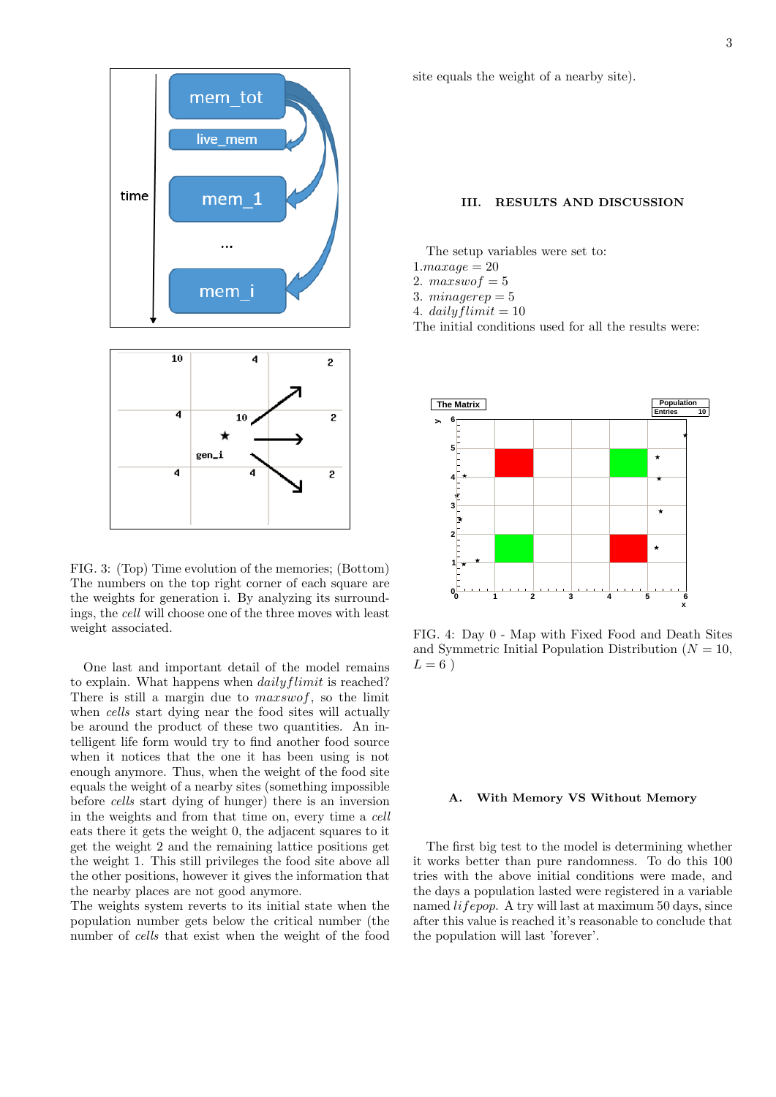

<span id="page-2-0"></span>FIG. 3: (Top) Time evolution of the memories; (Bottom) The numbers on the top right corner of each square are the weights for generation i. By analyzing its surroundings, the cell will choose one of the three moves with least weight associated.

One last and important detail of the model remains to explain. What happens when *dailyflimit* is reached? There is still a margin due to *maxswof*, so the limit when *cells* start dying near the food sites will actually be around the product of these two quantities. An intelligent life form would try to find another food source when it notices that the one it has been using is not enough anymore. Thus, when the weight of the food site equals the weight of a nearby sites (something impossible before cells start dying of hunger) there is an inversion in the weights and from that time on, every time a cell eats there it gets the weight 0, the adjacent squares to it get the weight 2 and the remaining lattice positions get the weight 1. This still privileges the food site above all the other positions, however it gives the information that the nearby places are not good anymore.

The weights system reverts to its initial state when the population number gets below the critical number (the number of cells that exist when the weight of the food site equals the weight of a nearby site).

## III. RESULTS AND DISCUSSION

The setup variables were set to:

- $1.maxaae = 20$
- 2.  $maxswof = 5$
- 3.  $minagerep = 5$
- 4. daily flimit  $= 10$

The initial conditions used for all the results were:



FIG. 4: Day 0 - Map with Fixed Food and Death Sites and Symmetric Initial Population Distribution ( $N = 10$ ,  $L = 6$ )

### A. With Memory VS Without Memory

The first big test to the model is determining whether it works better than pure randomness. To do this 100 tries with the above initial conditions were made, and the days a population lasted were registered in a variable named lifepop. A try will last at maximum 50 days, since after this value is reached it's reasonable to conclude that the population will last 'forever'.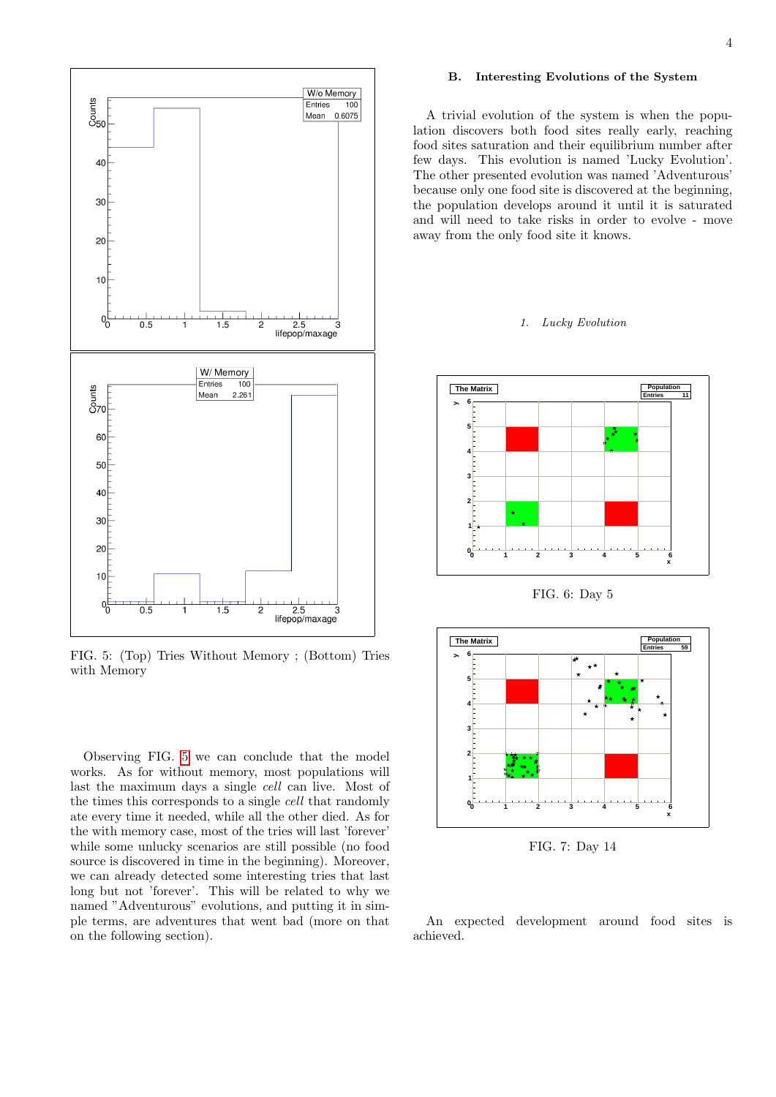

<span id="page-3-0"></span>FIG. 5: (Top) Tries Without Memory ; (Bottom) Tries with Memory

Observing FIG. [5](#page-3-0) we can conclude that the model works. As for without memory, most populations will last the maximum days a single cell can live. Most of the times this corresponds to a single cell that randomly ate every time it needed, while all the other died. As for the with memory case, most of the tries will last 'forever' while some unlucky scenarios are still possible (no food source is discovered in time in the beginning). Moreover, we can already detected some interesting tries that last long but not 'forever'. This will be related to why we named "Adventurous" evolutions, and putting it in simple terms, are adventures that went bad (more on that on the following section).

## B. Interesting Evolutions of the System

A trivial evolution of the system is when the population discovers both food sites really early, reaching food sites saturation and their equilibrium number after few days. This evolution is named 'Lucky Evolution'. The other presented evolution was named 'Adventurous' because only one food site is discovered at the beginning, the population develops around it until it is saturated and will need to take risks in order to evolve - move away from the only food site it knows.

### 1. Lucky Evolution





FIG. 7: Day 14

An expected development around food sites is achieved.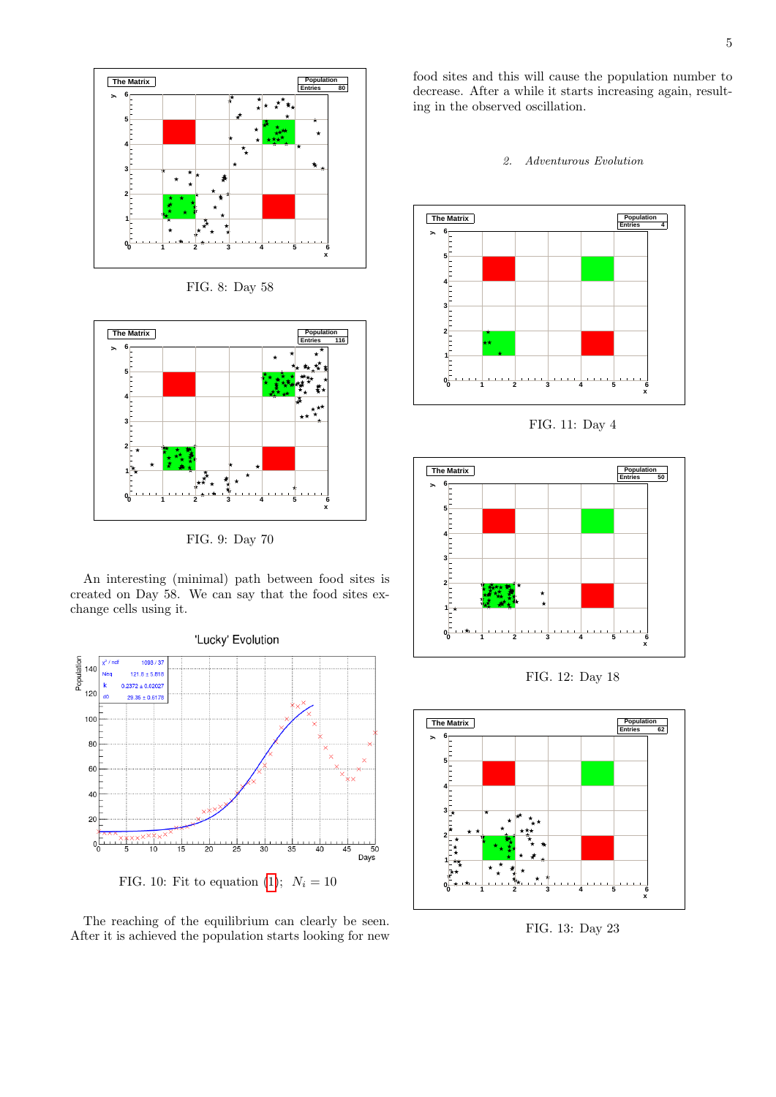

FIG. 8: Day 58



FIG. 9: Day 70

An interesting (minimal) path between food sites is created on Day 58. We can say that the food sites exchange cells using it.



FIG. 10: Fit to equation [\(1\)](#page-1-0);  $N_i = 10$ 

The reaching of the equilibrium can clearly be seen. After it is achieved the population starts looking for new

food sites and this will cause the population number to decrease. After a while it starts increasing again, resulting in the observed oscillation.





FIG. 11: Day 4



FIG. 12: Day 18



FIG. 13: Day 23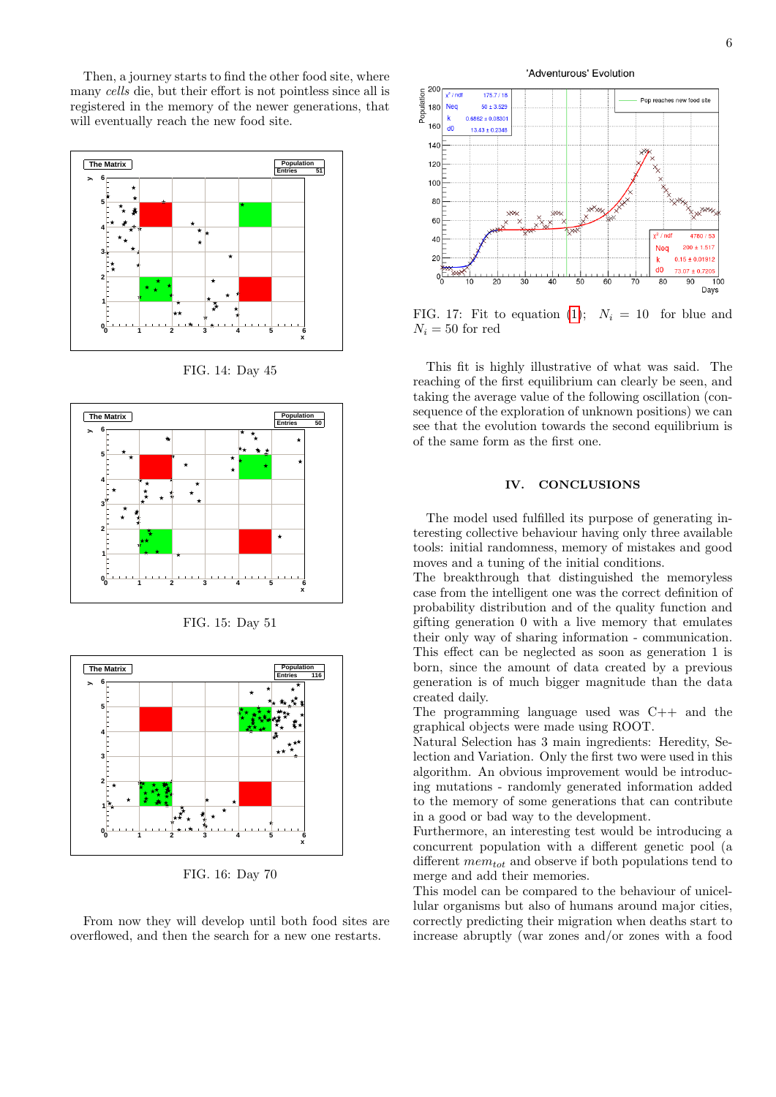Then, a journey starts to find the other food site, where many cells die, but their effort is not pointless since all is registered in the memory of the newer generations, that will eventually reach the new food site.



FIG. 14: Day 45



FIG. 15: Day 51



FIG. 16: Day 70

From now they will develop until both food sites are overflowed, and then the search for a new one restarts.



FIG. 17: Fit to equation [\(1\)](#page-1-0);  $N_i = 10$  for blue and  $N_i = 50$  for red

This fit is highly illustrative of what was said. The reaching of the first equilibrium can clearly be seen, and taking the average value of the following oscillation (consequence of the exploration of unknown positions) we can see that the evolution towards the second equilibrium is of the same form as the first one.

## IV. CONCLUSIONS

The model used fulfilled its purpose of generating interesting collective behaviour having only three available tools: initial randomness, memory of mistakes and good moves and a tuning of the initial conditions.

The breakthrough that distinguished the memoryless case from the intelligent one was the correct definition of probability distribution and of the quality function and gifting generation 0 with a live memory that emulates their only way of sharing information - communication. This effect can be neglected as soon as generation 1 is born, since the amount of data created by a previous generation is of much bigger magnitude than the data created daily.

The programming language used was C++ and the graphical objects were made using ROOT.

Natural Selection has 3 main ingredients: Heredity, Selection and Variation. Only the first two were used in this algorithm. An obvious improvement would be introducing mutations - randomly generated information added to the memory of some generations that can contribute in a good or bad way to the development.

Furthermore, an interesting test would be introducing a concurrent population with a different genetic pool (a different  $mem_{tot}$  and observe if both populations tend to merge and add their memories.

This model can be compared to the behaviour of unicellular organisms but also of humans around major cities, correctly predicting their migration when deaths start to increase abruptly (war zones and/or zones with a food